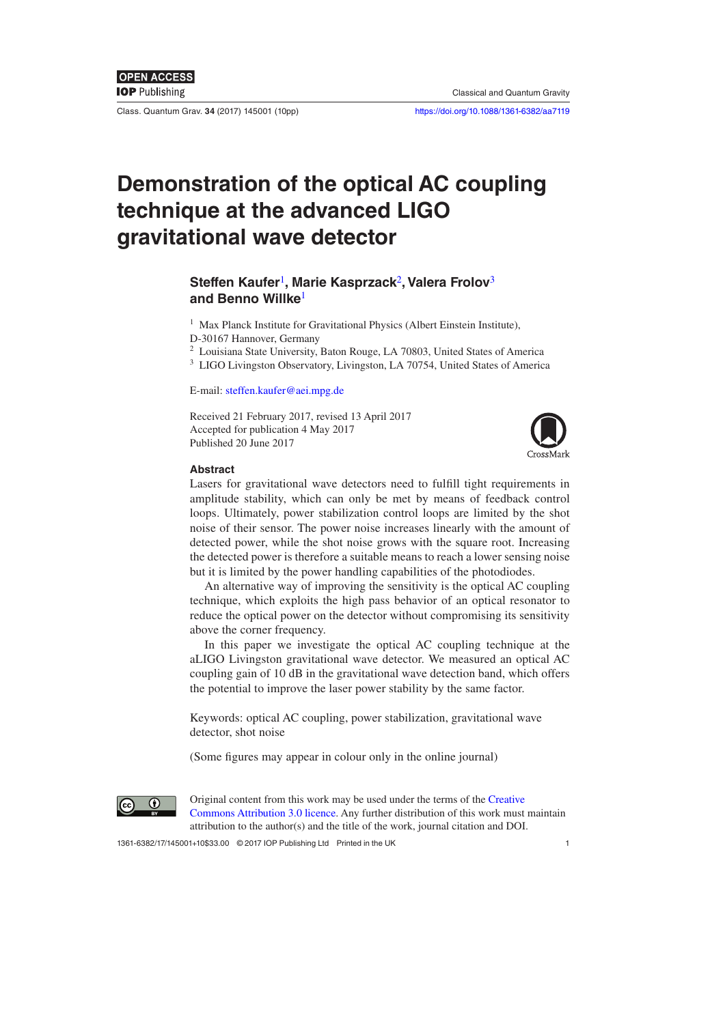Class. Quantum Grav. **34** (2017) 145001 ([10](#page-9-0)pp) <https://doi.org/10.1088/1361-6382/aa7119>

# **Demonstration of the optical AC coupling technique at the advanced LIGO gravitational wave detector**

# **Steffen Kaufer**[1](#page-0-0)**, Marie Kasprzack**[2](#page-0-1)**, Valera Frolov**[3](#page-0-2) **and Benno Willke**[1](#page-0-0)

<span id="page-0-0"></span><sup>1</sup> Max Planck Institute for Gravitational Physics (Albert Einstein Institute),

- D-30167 Hannover, Germany
- <span id="page-0-1"></span><sup>2</sup> Louisiana State University, Baton Rouge, LA 70803, United States of America
- <span id="page-0-2"></span><sup>3</sup> LIGO Livingston Observatory, Livingston, LA 70754, United States of America

E-mail: [steffen.kaufer@aei.mpg.de](mailto:steffen.kaufer@aei.mpg.de)

Received 21 February 2017, revised 13 April 2017 Accepted for publication 4 May 2017 Published 20 June 2017



#### **Abstract**

Lasers for gravitational wave detectors need to fulfill tight requirements in amplitude stability, which can only be met by means of feedback control loops. Ultimately, power stabilization control loops are limited by the shot noise of their sensor. The power noise increases linearly with the amount of detected power, while the shot noise grows with the square root. Increasing the detected power is therefore a suitable means to reach a lower sensing noise but it is limited by the power handling capabilities of the photodiodes.

An alternative way of improving the sensitivity is the optical AC coupling technique, which exploits the high pass behavior of an optical resonator to reduce the optical power on the detector without compromising its sensitivity above the corner frequency.

In this paper we investigate the optical AC coupling technique at the aLIGO Livingston gravitational wave detector. We measured an optical AC coupling gain of 10 dB in the gravitational wave detection band, which offers the potential to improve the laser power stability by the same factor.

Keywords: optical AC coupling, power stabilization, gravitational wave detector, shot noise

(Some figures may appear in colour only in the online journal)



Original content from this work may be used under the terms of the [Creative](http://creativecommons.org/licenses/by/3.0)  [Commons Attribution 3.0 licence.](http://creativecommons.org/licenses/by/3.0) Any further distribution of this work must maintain attribution to the author(s) and the title of the work, journal citation and DOI.

1361-6382/17/145001[+1](#page-9-0)0\$33.00 © 2017 IOP Publishing Ltd Printed in the UK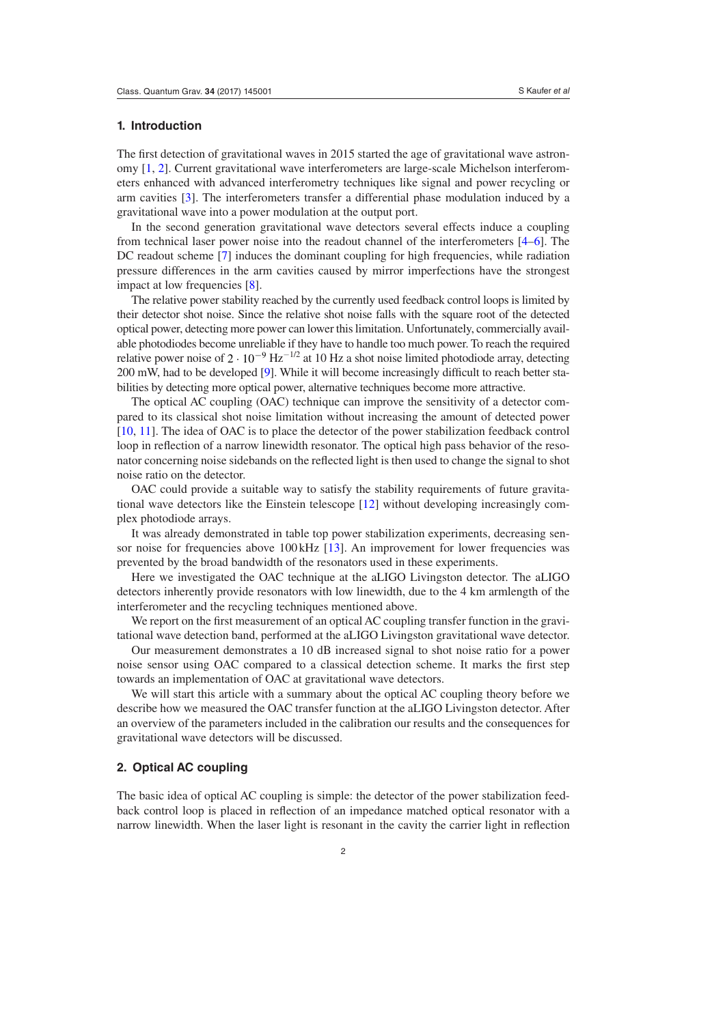#### **1. Introduction**

The first detection of gravitational waves in 2015 started the age of gravitational wave astronomy [[1,](#page-9-1) [2\]](#page-9-2). Current gravitational wave interferometers are large-scale Michelson interferometers enhanced with advanced interferometry techniques like signal and power recycling or arm cavities [\[3](#page-9-3)]. The interferometers transfer a differential phase modulation induced by a gravitational wave into a power modulation at the output port.

In the second generation gravitational wave detectors several effects induce a coupling from technical laser power noise into the readout channel of the interferometers [[4](#page-9-4)–[6\]](#page-9-5). The DC readout scheme [[7\]](#page-9-6) induces the dominant coupling for high frequencies, while radiation pressure differences in the arm cavities caused by mirror imperfections have the strongest impact at low frequencies [[8\]](#page-9-7).

The relative power stability reached by the currently used feedback control loops is limited by their detector shot noise. Since the relative shot noise falls with the square root of the detected optical power, detecting more power can lower this limitation. Unfortunately, commercially available photodiodes become unreliable if they have to handle too much power. To reach the required relative power noise of  $2 \cdot 10^{-9}$  Hz<sup>-1/2</sup> at 10 Hz a shot noise limited photodiode array, detecting 200 mW, had to be developed [\[9\]](#page-9-8). While it will become increasingly difficult to reach better stabilities by detecting more optical power, alternative techniques become more attractive.

The optical AC coupling (OAC) technique can improve the sensitivity of a detector compared to its classical shot noise limitation without increasing the amount of detected power [\[10](#page-9-9), [11](#page-9-10)]. The idea of OAC is to place the detector of the power stabilization feedback control loop in reflection of a narrow linewidth resonator. The optical high pass behavior of the resonator concerning noise sidebands on the reflected light is then used to change the signal to shot noise ratio on the detector.

OAC could provide a suitable way to satisfy the stability requirements of future gravitational wave detectors like the Einstein telescope [\[12](#page-9-11)] without developing increasingly complex photodiode arrays.

It was already demonstrated in table top power stabilization experiments, decreasing sensor noise for frequencies above 100kHz [\[13](#page-9-12)]. An improvement for lower frequencies was prevented by the broad bandwidth of the resonators used in these experiments.

Here we investigated the OAC technique at the aLIGO Livingston detector. The aLIGO detectors inherently provide resonators with low linewidth, due to the 4 km armlength of the interferometer and the recycling techniques mentioned above.

We report on the first measurement of an optical AC coupling transfer function in the gravitational wave detection band, performed at the aLIGO Livingston gravitational wave detector.

Our measurement demonstrates a 10 dB increased signal to shot noise ratio for a power noise sensor using OAC compared to a classical detection scheme. It marks the first step towards an implementation of OAC at gravitational wave detectors.

We will start this article with a summary about the optical AC coupling theory before we describe how we measured the OAC transfer function at the aLIGO Livingston detector. After an overview of the parameters included in the calibration our results and the consequences for gravitational wave detectors will be discussed.

# **2. Optical AC coupling**

The basic idea of optical AC coupling is simple: the detector of the power stabilization feedback control loop is placed in reflection of an impedance matched optical resonator with a narrow linewidth. When the laser light is resonant in the cavity the carrier light in reflection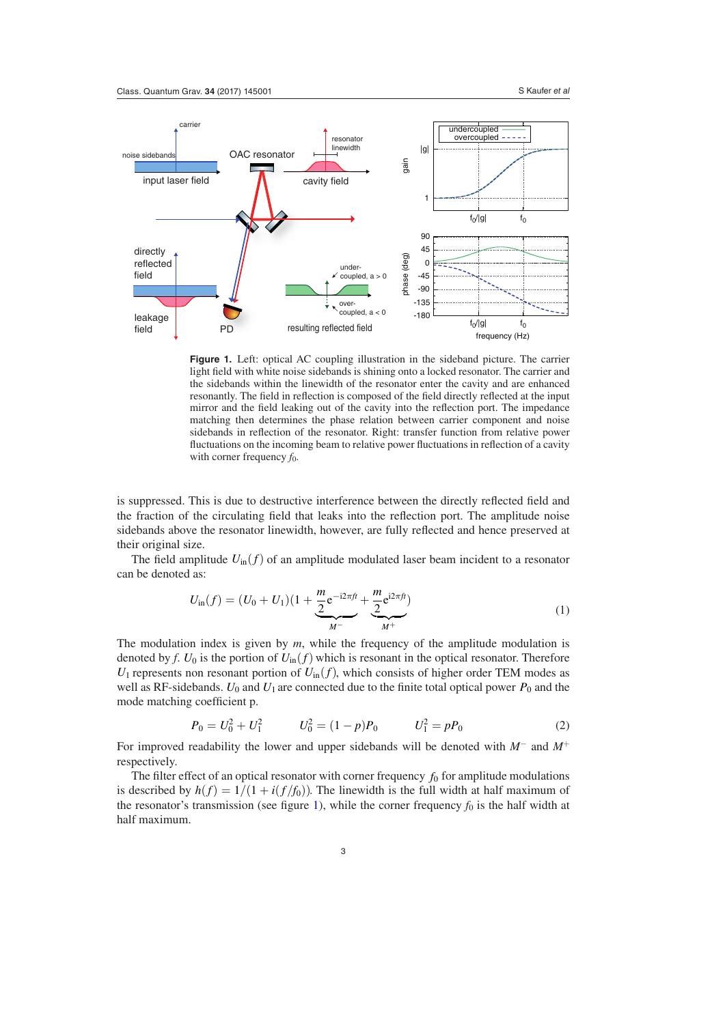<span id="page-2-0"></span>

**Figure 1.** Left: optical AC coupling illustration in the sideband picture. The carrier light field with white noise sidebands is shining onto a locked resonator. The carrier and the sidebands within the linewidth of the resonator enter the cavity and are enhanced resonantly. The field in reflection is composed of the field directly reflected at the input mirror and the field leaking out of the cavity into the reflection port. The impedance matching then determines the phase relation between carrier component and noise sidebands in reflection of the resonator. Right: transfer function from relative power fluctuations on the incoming beam to relative power fluctuations in reflection of a cavity with corner frequency  $f_0$ .

is suppressed. This is due to destructive interference between the directly reflected field and the fraction of the circulating field that leaks into the reflection port. The amplitude noise sidebands above the resonator linewidth, however, are fully reflected and hence preserved at their original size.

The field amplitude  $U_{\text{in}}(f)$  of an amplitude modulated laser beam incident to a resonator can be denoted as:

$$
U_{\text{in}}(f) = (U_0 + U_1)(1 + \underbrace{\frac{m}{2}e^{-i2\pi ft}}_{M^-} + \underbrace{\frac{m}{2}e^{i2\pi ft}}_{M^+})
$$
\n(1)

The modulation index is given by *m*, while the frequency of the amplitude modulation is denoted by *f*.  $U_0$  is the portion of  $U_{\text{in}}(f)$  which is resonant in the optical resonator. Therefore  $U_1$  represents non resonant portion of  $U_{\text{in}}(f)$ , which consists of higher order TEM modes as well as RF-sidebands.  $U_0$  and  $U_1$  are connected due to the finite total optical power  $P_0$  and the mode matching coefficient p.

$$
P_0 = U_0^2 + U_1^2 \qquad U_0^2 = (1 - p)P_0 \qquad U_1^2 = pP_0 \tag{2}
$$

For improved readability the lower and upper sidebands will be denoted with *M*<sup>−</sup> and *M*<sup>+</sup> respectively.

The filter effect of an optical resonator with corner frequency  $f_0$  for amplitude modulations is described by  $h(f) = 1/(1 + i(f/f_0))$ . The linewidth is the full width at half maximum of the resonator's transmission (see figure [1\)](#page-2-0), while the corner frequency  $f_0$  is the half width at half maximum.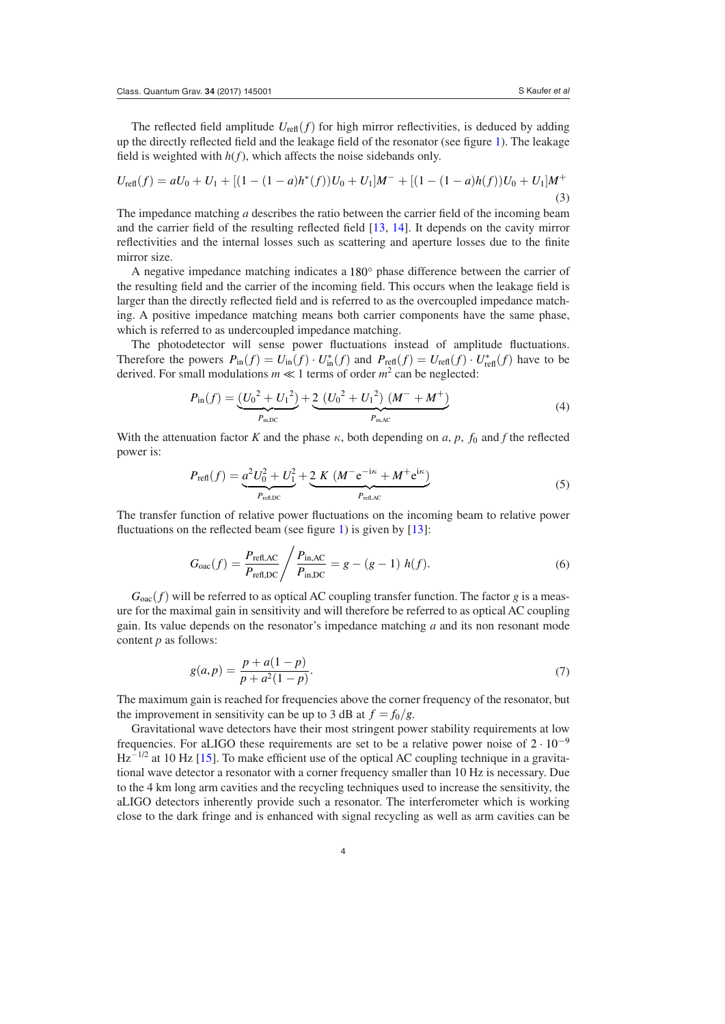The reflected field amplitude  $U_{\text{refl}}(f)$  for high mirror reflectivities, is deduced by adding up the directly reflected field and the leakage field of the resonator (see figure [1](#page-2-0)). The leakage field is weighted with  $h(f)$ , which affects the noise sidebands only.

$$
U_{\text{refl}}(f) = aU_0 + U_1 + [(1 - (1 - a)h^*(f))U_0 + U_1]M^- + [(1 - (1 - a)h(f))U_0 + U_1]M^+(3)
$$

The impedance matching *a* describes the ratio between the carrier field of the incoming beam and the carrier field of the resulting reflected field [\[13](#page-9-12), [14](#page-9-13)]. It depends on the cavity mirror reflectivities and the internal losses such as scattering and aperture losses due to the finite mirror size.

A negative impedance matching indicates a 180◦ phase difference between the carrier of the resulting field and the carrier of the incoming field. This occurs when the leakage field is larger than the directly reflected field and is referred to as the overcoupled impedance matching. A positive impedance matching means both carrier components have the same phase, which is referred to as undercoupled impedance matching.

The photodetector will sense power fluctuations instead of amplitude fluctuations. Therefore the powers  $P_{\text{in}}(f) = U_{\text{in}}(f) \cdot U_{\text{in}}^*(f)$  and  $P_{\text{refl}}(f) = U_{\text{refl}}(f) \cdot U_{\text{refl}}^*(f)$  have to be derived. For small modulations  $m \ll 1$  terms of order  $m^2$  can be neglected:

$$
P_{\text{in}}(f) = \underbrace{(U_0^2 + U_1^2)}_{P_{\text{in,DC}}} + \underbrace{2\ (U_0^2 + U_1^2)\ (M^- + M^+)}_{P_{\text{in,AC}}}
$$
(4)

With the attenuation factor *K* and the phase  $\kappa$ , both depending on *a*, *p*,  $f_0$  and *f* the reflected power is:

$$
P_{\text{refl}}(f) = \underbrace{a^2 U_0^2 + U_1^2}_{P_{\text{ref,DC}}} + \underbrace{2 K (M^- e^{-i\kappa} + M^+ e^{i\kappa})}_{P_{\text{refl,AC}}}
$$
(5)

The transfer function of relative power fluctuations on the incoming beam to relative power fluctuations on the reflected beam (see figure [1\)](#page-2-0) is given by [\[13](#page-9-12)]:

<span id="page-3-0"></span>
$$
G_{\text{oac}}(f) = \frac{P_{\text{refl,AC}}}{P_{\text{refl,DC}}} / \frac{P_{\text{in,AC}}}{P_{\text{in,DC}}} = g - (g - 1) \ h(f). \tag{6}
$$

 $G_{\text{oac}}(f)$  will be referred to as optical AC coupling transfer function. The factor *g* is a measure for the maximal gain in sensitivity and will therefore be referred to as optical AC coupling gain. Its value depends on the resonator's impedance matching *a* and its non resonant mode content *p* as follows:

<span id="page-3-1"></span>
$$
g(a,p) = \frac{p + a(1-p)}{p + a^2(1-p)}.
$$
\n(7)

The maximum gain is reached for frequencies above the corner frequency of the resonator, but the improvement in sensitivity can be up to 3 dB at  $f = f_0/g$ .

Gravitational wave detectors have their most stringent power stability requirements at low frequencies. For aLIGO these requirements are set to be a relative power noise of  $2 \cdot 10^{-9}$  $\text{Hz}^{-1/2}$  at 10 Hz [\[15](#page-9-14)]. To make efficient use of the optical AC coupling technique in a gravitational wave detector a resonator with a corner frequency smaller than 10 Hz is necessary. Due to the 4 km long arm cavities and the recycling techniques used to increase the sensitivity, the aLIGO detectors inherently provide such a resonator. The interferometer which is working close to the dark fringe and is enhanced with signal recycling as well as arm cavities can be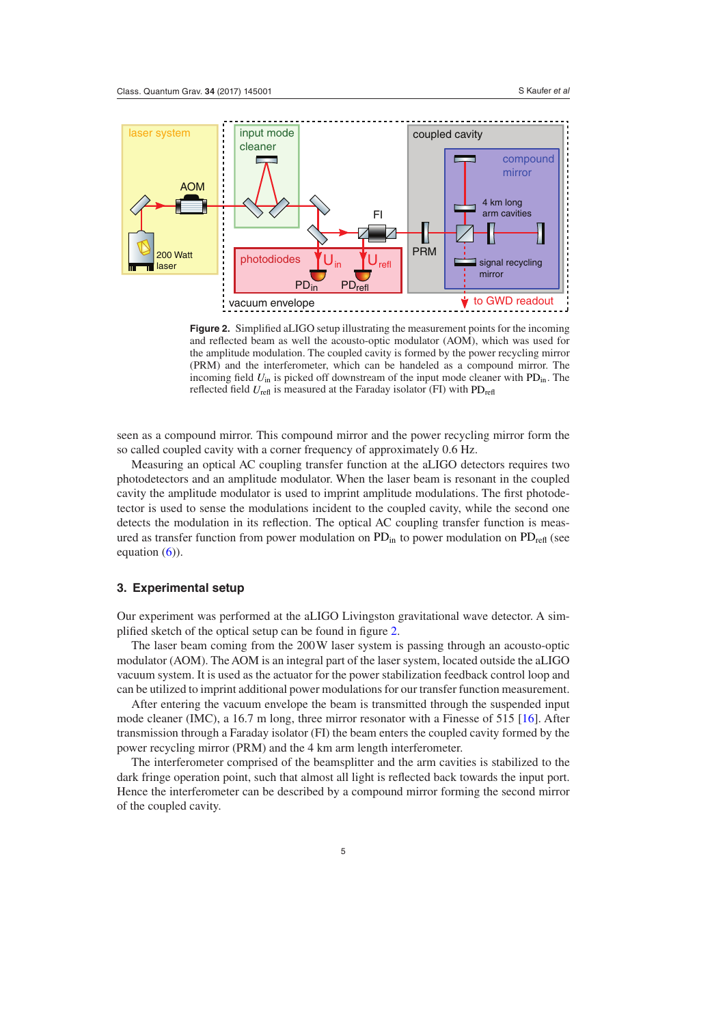<span id="page-4-0"></span>

**Figure 2.** Simplified aLIGO setup illustrating the measurement points for the incoming and reflected beam as well the acousto-optic modulator (AOM), which was used for the amplitude modulation. The coupled cavity is formed by the power recycling mirror (PRM) and the interferometer, which can be handeled as a compound mirror. The incoming field  $U_{\text{in}}$  is picked off downstream of the input mode cleaner with  $PD_{\text{in}}$ . The reflected field  $U_{\text{refl}}$  is measured at the Faraday isolator (FI) with PD<sub>refl</sub>

seen as a compound mirror. This compound mirror and the power recycling mirror form the so called coupled cavity with a corner frequency of approximately 0.6 Hz.

Measuring an optical AC coupling transfer function at the aLIGO detectors requires two photodetectors and an amplitude modulator. When the laser beam is resonant in the coupled cavity the amplitude modulator is used to imprint amplitude modulations. The first photodetector is used to sense the modulations incident to the coupled cavity, while the second one detects the modulation in its reflection. The optical AC coupling transfer function is measured as transfer function from power modulation on PD<sub>in</sub> to power modulation on PD<sub>refl</sub> (see equation  $(6)$  $(6)$ ).

### <span id="page-4-1"></span>**3. Experimental setup**

Our experiment was performed at the aLIGO Livingston gravitational wave detector. A simplified sketch of the optical setup can be found in figure [2](#page-4-0).

The laser beam coming from the 200W laser system is passing through an acousto-optic modulator (AOM). The AOM is an integral part of the laser system, located outside the aLIGO vacuum system. It is used as the actuator for the power stabilization feedback control loop and can be utilized to imprint additional power modulations for our transfer function measurement.

After entering the vacuum envelope the beam is transmitted through the suspended input mode cleaner (IMC), a 16.7 m long, three mirror resonator with a Finesse of 515 [[16\]](#page-9-15). After transmission through a Faraday isolator (FI) the beam enters the coupled cavity formed by the power recycling mirror (PRM) and the 4 km arm length interferometer.

The interferometer comprised of the beamsplitter and the arm cavities is stabilized to the dark fringe operation point, such that almost all light is reflected back towards the input port. Hence the interferometer can be described by a compound mirror forming the second mirror of the coupled cavity.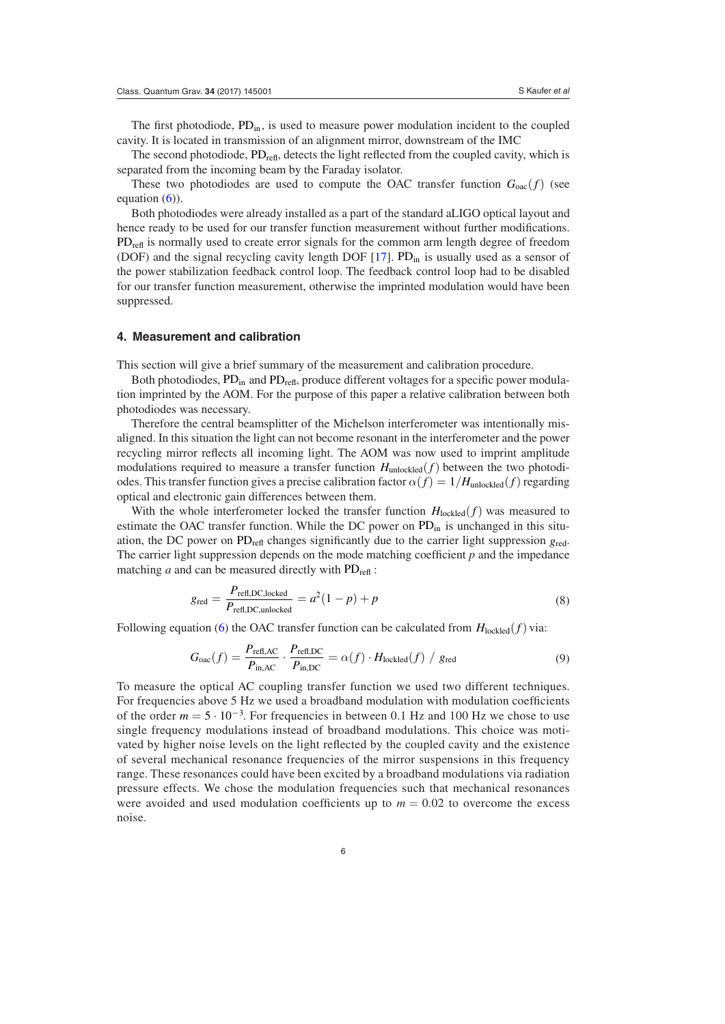The first photodiode,  $PD_{in}$ , is used to measure power modulation incident to the coupled cavity. It is located in transmission of an alignment mirror, downstream of the IMC

The second photodiode,  $PD_{refl}$ , detects the light reflected from the coupled cavity, which is separated from the incoming beam by the Faraday isolator.

These two photodiodes are used to compute the OAC transfer function  $G_{0ac}(f)$  (see equation  $(6)$  $(6)$ ).

Both photodiodes were already installed as a part of the standard aLIGO optical layout and hence ready to be used for our transfer function measurement without further modifications.  $PD_{\text{refl}}$  is normally used to create error signals for the common arm length degree of freedom (DOF) and the signal recycling cavity length DOF  $[17]$  $[17]$ . PD<sub>in</sub> is usually used as a sensor of the power stabilization feedback control loop. The feedback control loop had to be disabled for our transfer function measurement, otherwise the imprinted modulation would have been suppressed.

#### **4. Measurement and calibration**

This section will give a brief summary of the measurement and calibration procedure.

Both photodiodes,  $PD_{in}$  and  $PD_{ref}$ , produce different voltages for a specific power modulation imprinted by the AOM. For the purpose of this paper a relative calibration between both photodiodes was necessary.

Therefore the central beamsplitter of the Michelson interferometer was intentionally misaligned. In this situation the light can not become resonant in the interferometer and the power recycling mirror reflects all incoming light. The AOM was now used to imprint amplitude modulations required to measure a transfer function  $H_{\text{unlocked}}(f)$  between the two photodiodes. This transfer function gives a precise calibration factor  $\alpha(f) = 1/H_{\text{unlocked}}(f)$  regarding optical and electronic gain differences between them.

With the whole interferometer locked the transfer function  $H_{\text{locked}}(f)$  was measured to estimate the OAC transfer function. While the DC power on  $PD_{in}$  is unchanged in this situation, the DC power on PD<sub>refl</sub> changes significantly due to the carrier light suppression  $g_{\text{red}}$ . The carrier light suppression depends on the mode matching coefficient *p* and the impedance matching  $a$  and can be measured directly with  $PD_{refl}$ :

<span id="page-5-0"></span>
$$
g_{\text{red}} = \frac{P_{\text{refl,DC,locked}}}{P_{\text{refl,DC,unlocked}}} = a^2(1-p) + p
$$
\n(8)

Following equation [\(6](#page-3-0)) the OAC transfer function can be calculated from  $H_{\text{locked}}(f)$  via:

$$
G_{\text{oac}}(f) = \frac{P_{\text{refl,AC}}}{P_{\text{in,AC}}} \cdot \frac{P_{\text{refl,DC}}}{P_{\text{in,DC}}} = \alpha(f) \cdot H_{\text{locked}}(f) / g_{\text{red}}
$$
(9)

To measure the optical AC coupling transfer function we used two different techniques. For frequencies above 5 Hz we used a broadband modulation with modulation coefficients of the order  $m = 5 \cdot 10^{-3}$ . For frequencies in between 0.1 Hz and 100 Hz we chose to use single frequency modulations instead of broadband modulations. This choice was motivated by higher noise levels on the light reflected by the coupled cavity and the existence of several mechanical resonance frequencies of the mirror suspensions in this frequency range. These resonances could have been excited by a broadband modulations via radiation pressure effects. We chose the modulation frequencies such that mechanical resonances were avoided and used modulation coefficients up to  $m = 0.02$  to overcome the excess noise.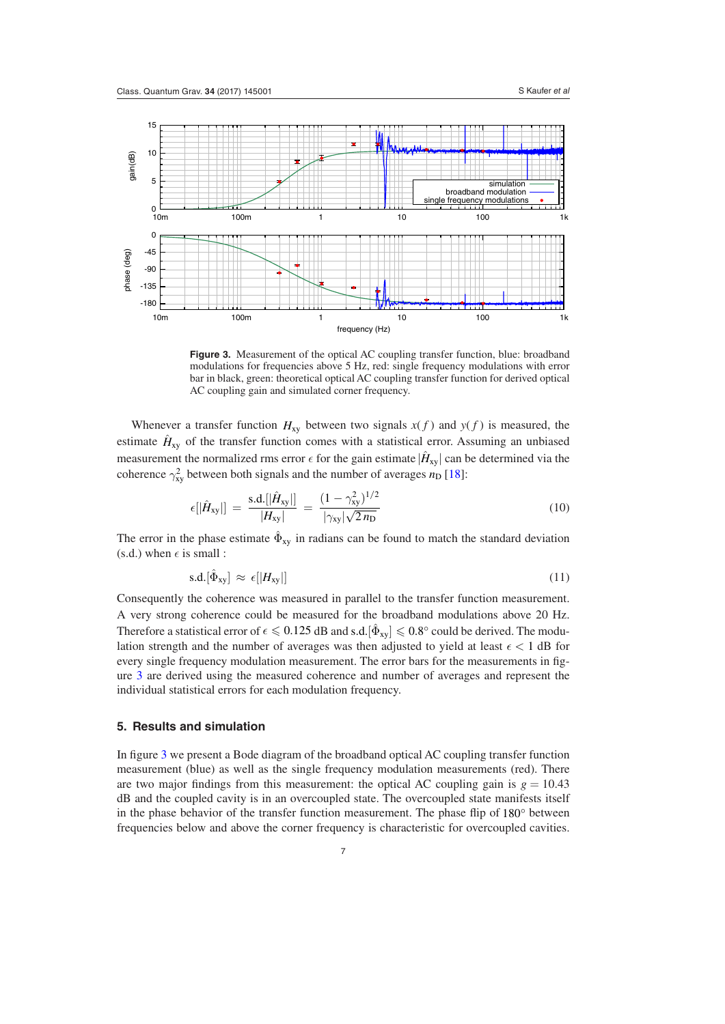<span id="page-6-0"></span>

**Figure 3.** Measurement of the optical AC coupling transfer function, blue: broadband modulations for frequencies above 5 Hz, red: single frequency modulations with error bar in black, green: theoretical optical AC coupling transfer function for derived optical AC coupling gain and simulated corner frequency.

Whenever a transfer function  $H_{xy}$  between two signals  $x(f)$  and  $y(f)$  is measured, the estimate  $\hat{H}_{xy}$  of the transfer function comes with a statistical error. Assuming an unbiased measurement the normalized rms error  $\epsilon$  for the gain estimate  $|\hat{H}_{xy}|$  can be determined via the coherence  $\gamma_{xy}^2$  between both signals and the number of averages  $n_D$  [\[18](#page-9-17)]:

$$
\epsilon[|\hat{H}_{xy}|] = \frac{\text{s.d.}[|\hat{H}_{xy}|]}{|H_{xy}|} = \frac{(1 - \gamma_{xy}^2)^{1/2}}{|\gamma_{xy}| \sqrt{2 n_{\text{D}}}}
$$
(10)

The error in the phase estimate  $\hat{\Phi}_{xy}$  in radians can be found to match the standard deviation (s.d.) when  $\epsilon$  is small :

$$
\mathrm{s.d.}[\hat{\Phi}_{xy}] \approx \epsilon [|H_{xy}|] \tag{11}
$$

Consequently the coherence was measured in parallel to the transfer function measurement. A very strong coherence could be measured for the broadband modulations above 20 Hz. Therefore a statistical error of  $\epsilon \leq 0.125$  dB and s.d.  $|\hat{\Phi}_{xy}| \leq 0.8^{\circ}$  could be derived. The modulation strength and the number of averages was then adjusted to yield at least  $\epsilon < 1$  dB for every single frequency modulation measurement. The error bars for the measurements in figure [3](#page-6-0) are derived using the measured coherence and number of averages and represent the individual statistical errors for each modulation frequency.

## **5. Results and simulation**

In figure [3](#page-6-0) we present a Bode diagram of the broadband optical AC coupling transfer function measurement (blue) as well as the single frequency modulation measurements (red). There are two major findings from this measurement: the optical AC coupling gain is  $g = 10.43$ dB and the coupled cavity is in an overcoupled state. The overcoupled state manifests itself in the phase behavior of the transfer function measurement. The phase flip of 180◦ between frequencies below and above the corner frequency is characteristic for overcoupled cavities.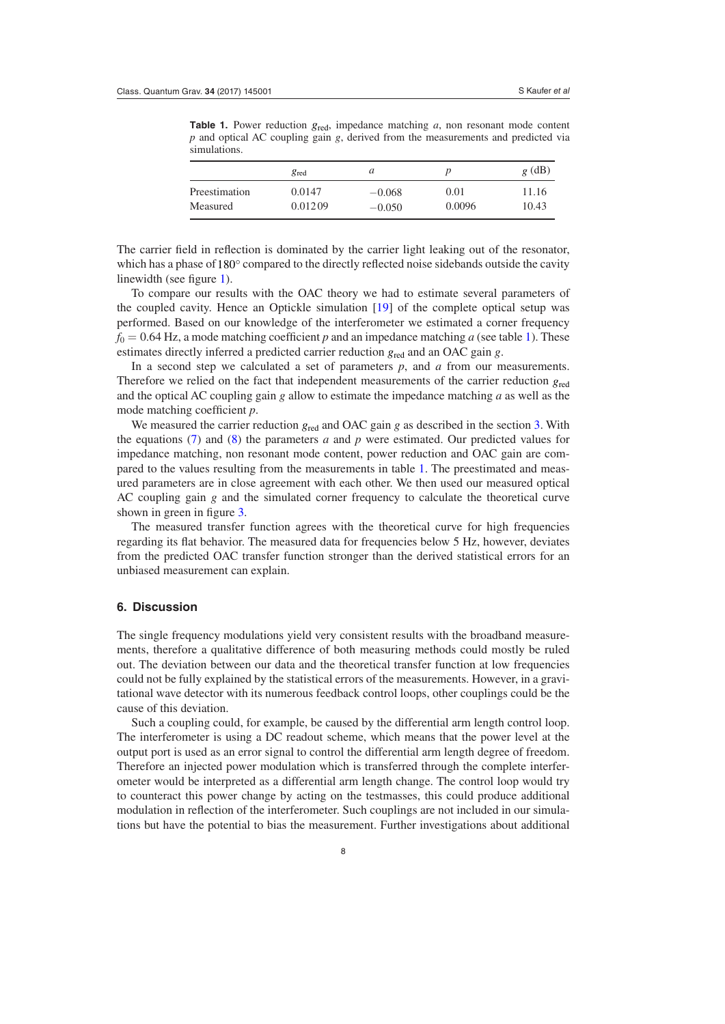<span id="page-7-0"></span>**Table 1.** Power reduction  $g_{\text{red}}$ , impedance matching *a*, non resonant mode content *p* and optical AC coupling gain *g*, derived from the measurements and predicted via simulations.

|               | $g_{\text{red}}$ | a        |        | $g$ (dB) |
|---------------|------------------|----------|--------|----------|
| Preestimation | 0.0147           | $-0.068$ | 0.01   | 11.16    |
| Measured      | 0.01209          | $-0.050$ | 0.0096 | 10.43    |

The carrier field in reflection is dominated by the carrier light leaking out of the resonator, which has a phase of 180<sup>°</sup> compared to the directly reflected noise sidebands outside the cavity linewidth (see figure [1](#page-2-0)).

To compare our results with the OAC theory we had to estimate several parameters of the coupled cavity. Hence an Optickle simulation [\[19](#page-9-18)] of the complete optical setup was performed. Based on our knowledge of the interferometer we estimated a corner frequency  $f_0 = 0.64$  Hz, a mode matching coefficient *p* and an impedance matching *a* (see table [1](#page-7-0)). These estimates directly inferred a predicted carrier reduction *g*red and an OAC gain *g*.

In a second step we calculated a set of parameters *p*, and *a* from our measurements. Therefore we relied on the fact that independent measurements of the carrier reduction *g*red and the optical AC coupling gain *g* allow to estimate the impedance matching *a* as well as the mode matching coefficient *p*.

We measured the carrier reduction  $g_{\text{red}}$  and OAC gain *g* as described in the section [3.](#page-4-1) With the equations ([7\)](#page-3-1) and [\(8](#page-5-0)) the parameters *a* and *p* were estimated. Our predicted values for impedance matching, non resonant mode content, power reduction and OAC gain are compared to the values resulting from the measurements in table [1.](#page-7-0) The preestimated and measured parameters are in close agreement with each other. We then used our measured optical AC coupling gain *g* and the simulated corner frequency to calculate the theoretical curve shown in green in figure [3](#page-6-0).

The measured transfer function agrees with the theoretical curve for high frequencies regarding its flat behavior. The measured data for frequencies below 5 Hz, however, deviates from the predicted OAC transfer function stronger than the derived statistical errors for an unbiased measurement can explain.

#### **6. Discussion**

The single frequency modulations yield very consistent results with the broadband measurements, therefore a qualitative difference of both measuring methods could mostly be ruled out. The deviation between our data and the theoretical transfer function at low frequencies could not be fully explained by the statistical errors of the measurements. However, in a gravitational wave detector with its numerous feedback control loops, other couplings could be the cause of this deviation.

Such a coupling could, for example, be caused by the differential arm length control loop. The interferometer is using a DC readout scheme, which means that the power level at the output port is used as an error signal to control the differential arm length degree of freedom. Therefore an injected power modulation which is transferred through the complete interferometer would be interpreted as a differential arm length change. The control loop would try to counteract this power change by acting on the testmasses, this could produce additional modulation in reflection of the interferometer. Such couplings are not included in our simulations but have the potential to bias the measurement. Further investigations about additional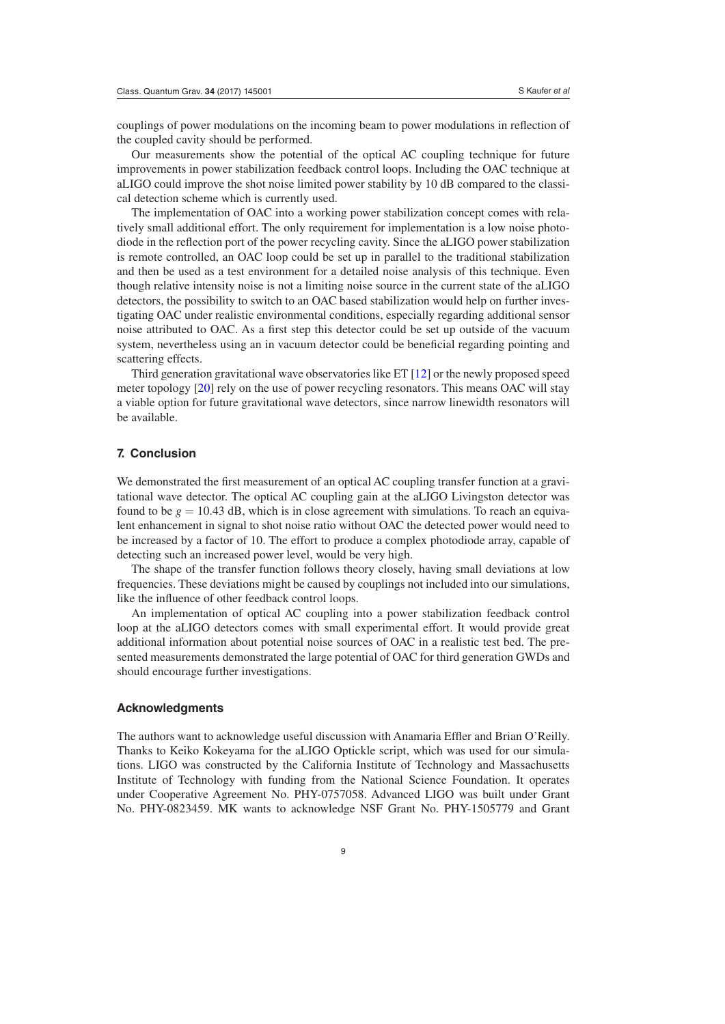couplings of power modulations on the incoming beam to power modulations in reflection of the coupled cavity should be performed.

Our measurements show the potential of the optical AC coupling technique for future improvements in power stabilization feedback control loops. Including the OAC technique at aLIGO could improve the shot noise limited power stability by 10 dB compared to the classical detection scheme which is currently used.

The implementation of OAC into a working power stabilization concept comes with relatively small additional effort. The only requirement for implementation is a low noise photodiode in the reflection port of the power recycling cavity. Since the aLIGO power stabilization is remote controlled, an OAC loop could be set up in parallel to the traditional stabilization and then be used as a test environment for a detailed noise analysis of this technique. Even though relative intensity noise is not a limiting noise source in the current state of the aLIGO detectors, the possibility to switch to an OAC based stabilization would help on further investigating OAC under realistic environmental conditions, especially regarding additional sensor noise attributed to OAC. As a first step this detector could be set up outside of the vacuum system, nevertheless using an in vacuum detector could be beneficial regarding pointing and scattering effects.

Third generation gravitational wave observatories like ET [[12\]](#page-9-11) or the newly proposed speed meter topology [[20\]](#page-9-19) rely on the use of power recycling resonators. This means OAC will stay a viable option for future gravitational wave detectors, since narrow linewidth resonators will be available.

#### **7. Conclusion**

We demonstrated the first measurement of an optical AC coupling transfer function at a gravitational wave detector. The optical AC coupling gain at the aLIGO Livingston detector was found to be  $g = 10.43$  dB, which is in close agreement with simulations. To reach an equivalent enhancement in signal to shot noise ratio without OAC the detected power would need to be increased by a factor of 10. The effort to produce a complex photodiode array, capable of detecting such an increased power level, would be very high.

The shape of the transfer function follows theory closely, having small deviations at low frequencies. These deviations might be caused by couplings not included into our simulations, like the influence of other feedback control loops.

An implementation of optical AC coupling into a power stabilization feedback control loop at the aLIGO detectors comes with small experimental effort. It would provide great additional information about potential noise sources of OAC in a realistic test bed. The presented measurements demonstrated the large potential of OAC for third generation GWDs and should encourage further investigations.

#### **Acknowledgments**

The authors want to acknowledge useful discussion with Anamaria Effler and Brian O'Reilly. Thanks to Keiko Kokeyama for the aLIGO Optickle script, which was used for our simulations. LIGO was constructed by the California Institute of Technology and Massachusetts Institute of Technology with funding from the National Science Foundation. It operates under Cooperative Agreement No. PHY-0757058. Advanced LIGO was built under Grant No. PHY-0823459. MK wants to acknowledge NSF Grant No. PHY-1505779 and Grant